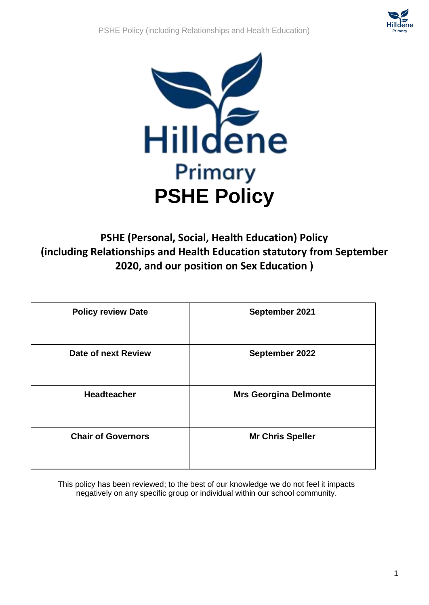



# **PSHE (Personal, Social, Health Education) Policy (including Relationships and Health Education statutory from September 2020, and our position on Sex Education )**

| <b>Policy review Date</b> | September 2021               |
|---------------------------|------------------------------|
| Date of next Review       | September 2022               |
| <b>Headteacher</b>        | <b>Mrs Georgina Delmonte</b> |
| <b>Chair of Governors</b> | <b>Mr Chris Speller</b>      |

This policy has been reviewed; to the best of our knowledge we do not feel it impacts negatively on any specific group or individual within our school community.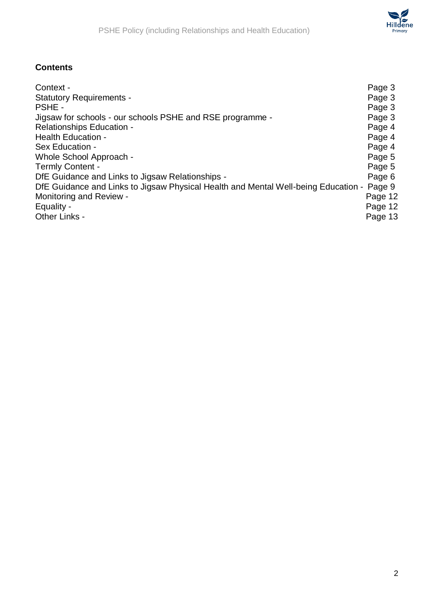# **Contents**

| Context -                                                                          | Page 3  |
|------------------------------------------------------------------------------------|---------|
| <b>Statutory Requirements -</b>                                                    | Page 3  |
| PSHE -                                                                             | Page 3  |
| Jigsaw for schools - our schools PSHE and RSE programme -                          | Page 3  |
| <b>Relationships Education -</b>                                                   | Page 4  |
| <b>Health Education -</b>                                                          | Page 4  |
| Sex Education -                                                                    | Page 4  |
| Whole School Approach -                                                            | Page 5  |
| <b>Termly Content -</b>                                                            | Page 5  |
| DfE Guidance and Links to Jigsaw Relationships -                                   | Page 6  |
| DfE Guidance and Links to Jigsaw Physical Health and Mental Well-being Education - | Page 9  |
| <b>Monitoring and Review -</b>                                                     | Page 12 |
| Equality -                                                                         | Page 12 |
| Other Links -                                                                      | Page 13 |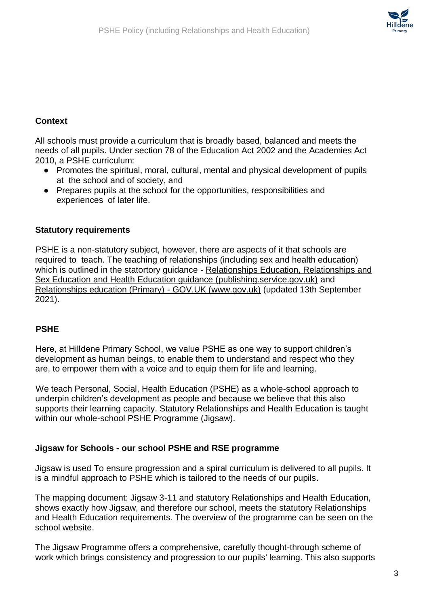# **Context**

All schools must provide a curriculum that is broadly based, balanced and meets the needs of all pupils. Under section 78 of the Education Act 2002 and the Academies Act 2010, a PSHE curriculum:

- Promotes the spiritual, moral, cultural, mental and physical development of pupils at the school and of society, and
- Prepares pupils at the school for the opportunities, responsibilities and experiences of later life.

# **Statutory requirements**

PSHE is a non-statutory subject, however, there are aspects of it that schools are required to teach. The teaching of relationships (including sex and health education) which is outlined in the statortory quidance - Relationships Education, Relationships and [Sex Education and Health Education guidance \(publishing.service.gov.uk\)](https://assets.publishing.service.gov.uk/government/uploads/system/uploads/attachment_data/file/908013/Relationships_Education__Relationships_and_Sex_Education__RSE__and_Health_Education.pdf) and [Relationships education \(Primary\) -](https://www.gov.uk/government/publications/relationships-education-relationships-and-sex-education-rse-and-health-education/relationships-education-primary) GOV.UK [\(www.gov.uk](http://www.gov.uk/)[\)](https://www.gov.uk/government/publications/relationships-education-relationships-and-sex-education-rse-and-health-education/relationships-education-primary) (updated 13th September 2021).

# **PSHE**

Here, at Hilldene Primary School, we value PSHE as one way to support children's development as human beings, to enable them to understand and respect who they are, to empower them with a voice and to equip them for life and learning.

We teach Personal, Social, Health Education (PSHE) as a whole-school approach to underpin children's development as people and because we believe that this also supports their learning capacity. Statutory Relationships and Health Education is taught within our whole-school PSHE Programme (Jigsaw).

#### **Jigsaw for Schools - our school PSHE and RSE programme**

Jigsaw is used To ensure progression and a spiral curriculum is delivered to all pupils. It is a mindful approach to PSHE which is tailored to the needs of our pupils.

The mapping document: Jigsaw 3-11 and statutory Relationships and Health Education, shows exactly how Jigsaw, and therefore our school, meets the statutory Relationships and Health Education requirements. The overview of the programme can be seen on the school website.

The Jigsaw Programme offers a comprehensive, carefully thought-through scheme of work which brings consistency and progression to our pupils' learning. This also supports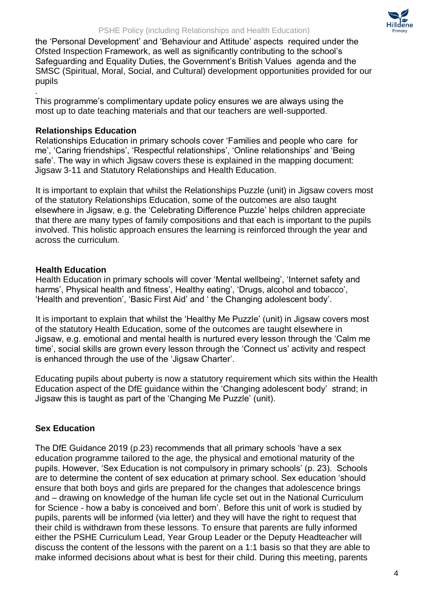

the 'Personal Development' and 'Behaviour and Attitude' aspects required under the Ofsted Inspection Framework, as well as significantly contributing to the school's Safeguarding and Equality Duties, the Government's British Values agenda and the SMSC (Spiritual, Moral, Social, and Cultural) development opportunities provided for our pupils

. This programme's complimentary update policy ensures we are always using the most up to date teaching materials and that our teachers are well-supported.

#### **Relationships Education**

Relationships Education in primary schools cover 'Families and people who care for me', 'Caring friendships', 'Respectful relationships', 'Online relationships' and 'Being safe'. The way in which Jigsaw covers these is explained in the mapping document: Jigsaw 3-11 and Statutory Relationships and Health Education.

It is important to explain that whilst the Relationships Puzzle (unit) in Jigsaw covers most of the statutory Relationships Education, some of the outcomes are also taught elsewhere in Jigsaw, e.g. the 'Celebrating Difference Puzzle' helps children appreciate that there are many types of family compositions and that each is important to the pupils involved. This holistic approach ensures the learning is reinforced through the year and across the curriculum.

#### **Health Education**

Health Education in primary schools will cover 'Mental wellbeing', 'Internet safety and harms', Physical health and fitness', Healthy eating', 'Drugs, alcohol and tobacco', 'Health and prevention', 'Basic First Aid' and ' the Changing adolescent body'.

It is important to explain that whilst the 'Healthy Me Puzzle' (unit) in Jigsaw covers most of the statutory Health Education, some of the outcomes are taught elsewhere in Jigsaw, e.g. emotional and mental health is nurtured every lesson through the 'Calm me time', social skills are grown every lesson through the 'Connect us' activity and respect is enhanced through the use of the 'Jigsaw Charter'.

Educating pupils about puberty is now a statutory requirement which sits within the Health Education aspect of the DfE guidance within the 'Changing adolescent body' strand; in Jigsaw this is taught as part of the 'Changing Me Puzzle' (unit).

# **Sex Education**

The DfE Guidance 2019 (p.23) recommends that all primary schools 'have a sex education programme tailored to the age, the physical and emotional maturity of the pupils. However, 'Sex Education is not compulsory in primary schools' (p. 23). Schools are to determine the content of sex education at primary school. Sex education 'should ensure that both boys and girls are prepared for the changes that adolescence brings and – drawing on knowledge of the human life cycle set out in the National Curriculum for Science - how a baby is conceived and born'. Before this unit of work is studied by pupils, parents will be informed (via letter) and they will have the right to request that their child is withdrawn from these lessons. To ensure that parents are fully informed either the PSHE Curriculum Lead, Year Group Leader or the Deputy Headteacher will discuss the content of the lessons with the parent on a 1:1 basis so that they are able to make informed decisions about what is best for their child. During this meeting, parents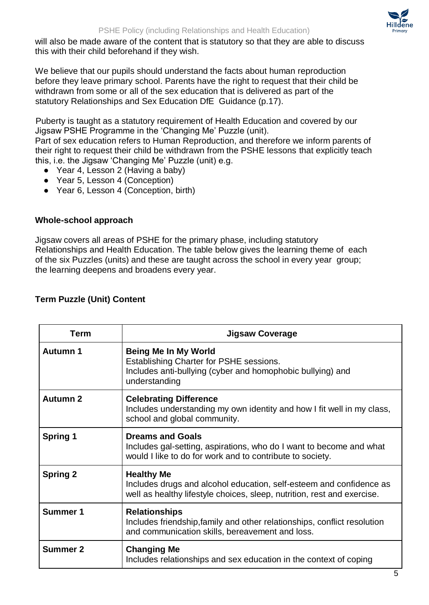

will also be made aware of the content that is statutory so that they are able to discuss this with their child beforehand if they wish.

We believe that our pupils should understand the facts about human reproduction before they leave primary school. Parents have the right to request that their child be withdrawn from some or all of the sex education that is delivered as part of the statutory Relationships and Sex Education DfE Guidance (p.17).

Puberty is taught as a statutory requirement of Health Education and covered by our Jigsaw PSHE Programme in the 'Changing Me' Puzzle (unit).

Part of sex education refers to Human Reproduction, and therefore we inform parents of their right to request their child be withdrawn from the PSHE lessons that explicitly teach this, i.e. the Jigsaw 'Changing Me' Puzzle (unit) e.g.

- Year 4, Lesson 2 (Having a baby)
- Year 5, Lesson 4 (Conception)
- Year 6, Lesson 4 (Conception, birth)

#### **Whole-school approach**

Jigsaw covers all areas of PSHE for the primary phase, including statutory Relationships and Health Education. The table below gives the learning theme of each of the six Puzzles (units) and these are taught across the school in every year group; the learning deepens and broadens every year.

| <b>Term</b>     | <b>Jigsaw Coverage</b>                                                                                                                                              |  |
|-----------------|---------------------------------------------------------------------------------------------------------------------------------------------------------------------|--|
| <b>Autumn 1</b> | <b>Being Me In My World</b><br>Establishing Charter for PSHE sessions.<br>Includes anti-bullying (cyber and homophobic bullying) and<br>understanding               |  |
| <b>Autumn 2</b> | <b>Celebrating Difference</b><br>Includes understanding my own identity and how I fit well in my class,<br>school and global community.                             |  |
| <b>Spring 1</b> | <b>Dreams and Goals</b><br>Includes gal-setting, aspirations, who do I want to become and what<br>would I like to do for work and to contribute to society.         |  |
| <b>Spring 2</b> | <b>Healthy Me</b><br>Includes drugs and alcohol education, self-esteem and confidence as<br>well as healthy lifestyle choices, sleep, nutrition, rest and exercise. |  |
| <b>Summer 1</b> | <b>Relationships</b><br>Includes friendship, family and other relationships, conflict resolution<br>and communication skills, bereavement and loss.                 |  |
| <b>Summer 2</b> | <b>Changing Me</b><br>Includes relationships and sex education in the context of coping                                                                             |  |

# **Term Puzzle (Unit) Content**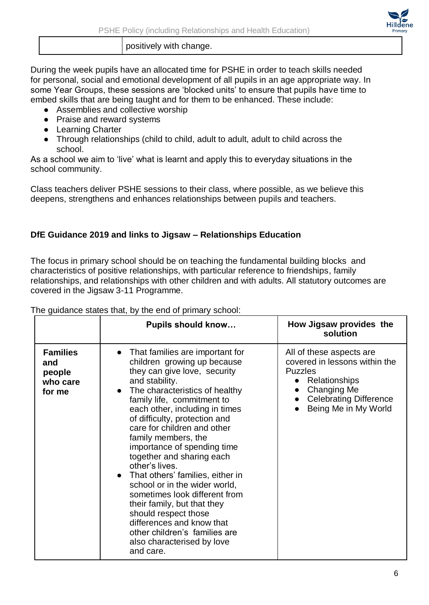positively with change.

During the week pupils have an allocated time for PSHE in order to teach skills needed for personal, social and emotional development of all pupils in an age appropriate way. In some Year Groups, these sessions are 'blocked units' to ensure that pupils have time to embed skills that are being taught and for them to be enhanced. These include:

- Assemblies and collective worship
- Praise and reward systems
- Learning Charter
- Through relationships (child to child, adult to adult, adult to child across the school.

As a school we aim to 'live' what is learnt and apply this to everyday situations in the school community.

Class teachers deliver PSHE sessions to their class, where possible, as we believe this deepens, strengthens and enhances relationships between pupils and teachers.

# **DfE Guidance 2019 and links to Jigsaw – Relationships Education**

The focus in primary school should be on teaching the fundamental building blocks and characteristics of positive relationships, with particular reference to friendships, family relationships, and relationships with other children and with adults. All statutory outcomes are covered in the Jigsaw 3-11 Programme.

Pupils should know... **How Jigsaw provides the solution Families and people who care for me**  ● That families are important for children growing up because they can give love, security and stability. • The characteristics of healthy family life, commitment to each other, including in times of difficulty, protection and care for children and other family members, the importance of spending time together and sharing each other's lives. ● That others' families, either in school or in the wider world, sometimes look different from their family, but that they should respect those differences and know that other children's families are also characterised by love and care. All of these aspects are covered in lessons within the Puzzles ● Relationships ● Changing Me ● Celebrating Difference ● Being Me in My World

The guidance states that, by the end of primary school:

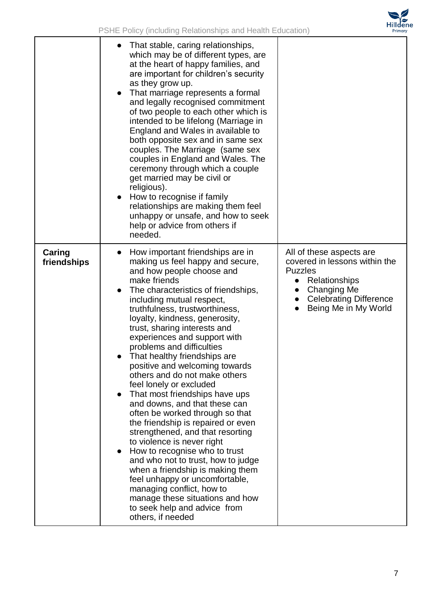

|                       | That stable, caring relationships,<br>which may be of different types, are<br>at the heart of happy families, and<br>are important for children's security<br>as they grow up.<br>That marriage represents a formal<br>$\bullet$<br>and legally recognised commitment<br>of two people to each other which is<br>intended to be lifelong (Marriage in<br>England and Wales in available to<br>both opposite sex and in same sex<br>couples. The Marriage (same sex<br>couples in England and Wales. The<br>ceremony through which a couple<br>get married may be civil or<br>religious).<br>How to recognise if family<br>$\bullet$<br>relationships are making them feel<br>unhappy or unsafe, and how to seek<br>help or advice from others if<br>needed.                                                                                                                                                                                                                       |                                                                                                                                                                                          |
|-----------------------|-----------------------------------------------------------------------------------------------------------------------------------------------------------------------------------------------------------------------------------------------------------------------------------------------------------------------------------------------------------------------------------------------------------------------------------------------------------------------------------------------------------------------------------------------------------------------------------------------------------------------------------------------------------------------------------------------------------------------------------------------------------------------------------------------------------------------------------------------------------------------------------------------------------------------------------------------------------------------------------|------------------------------------------------------------------------------------------------------------------------------------------------------------------------------------------|
| Caring<br>friendships | How important friendships are in<br>$\bullet$<br>making us feel happy and secure,<br>and how people choose and<br>make friends<br>The characteristics of friendships,<br>including mutual respect,<br>truthfulness, trustworthiness,<br>loyalty, kindness, generosity,<br>trust, sharing interests and<br>experiences and support with<br>problems and difficulties<br>That healthy friendships are<br>positive and welcoming towards<br>others and do not make others<br>feel lonely or excluded<br>That most friendships have ups<br>and downs, and that these can<br>often be worked through so that<br>the friendship is repaired or even<br>strengthened, and that resorting<br>to violence is never right<br>How to recognise who to trust<br>and who not to trust, how to judge<br>when a friendship is making them<br>feel unhappy or uncomfortable,<br>managing conflict, how to<br>manage these situations and how<br>to seek help and advice from<br>others, if needed | All of these aspects are<br>covered in lessons within the<br><b>Puzzles</b><br>Relationships<br>$\bullet$<br><b>Changing Me</b><br><b>Celebrating Difference</b><br>Being Me in My World |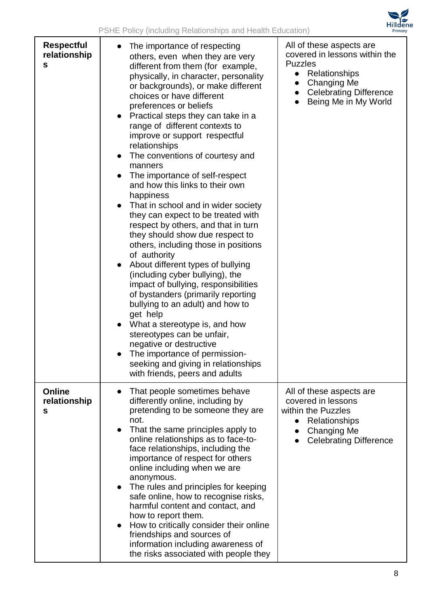

| <b>Respectful</b><br>relationship<br>S | The importance of respecting<br>others, even when they are very<br>different from them (for example,<br>physically, in character, personality<br>or backgrounds), or make different<br>choices or have different<br>preferences or beliefs<br>Practical steps they can take in a<br>range of different contexts to<br>improve or support respectful<br>relationships<br>The conventions of courtesy and<br>manners<br>The importance of self-respect<br>and how this links to their own<br>happiness<br>That in school and in wider society<br>$\bullet$<br>they can expect to be treated with<br>respect by others, and that in turn<br>they should show due respect to<br>others, including those in positions<br>of authority<br>About different types of bullying<br>$\bullet$<br>(including cyber bullying), the<br>impact of bullying, responsibilities<br>of bystanders (primarily reporting<br>bullying to an adult) and how to<br>get help<br>What a stereotype is, and how<br>stereotypes can be unfair,<br>negative or destructive<br>The importance of permission-<br>seeking and giving in relationships<br>with friends, peers and adults | All of these aspects are<br>covered in lessons within the<br><b>Puzzles</b><br>Relationships<br>$\bullet$<br><b>Changing Me</b><br><b>Celebrating Difference</b><br>Being Me in My World<br>$\bullet$ |
|----------------------------------------|---------------------------------------------------------------------------------------------------------------------------------------------------------------------------------------------------------------------------------------------------------------------------------------------------------------------------------------------------------------------------------------------------------------------------------------------------------------------------------------------------------------------------------------------------------------------------------------------------------------------------------------------------------------------------------------------------------------------------------------------------------------------------------------------------------------------------------------------------------------------------------------------------------------------------------------------------------------------------------------------------------------------------------------------------------------------------------------------------------------------------------------------------------|-------------------------------------------------------------------------------------------------------------------------------------------------------------------------------------------------------|
| Online<br>relationship<br>S            | That people sometimes behave<br>differently online, including by<br>pretending to be someone they are<br>not.<br>That the same principles apply to<br>$\bullet$<br>online relationships as to face-to-<br>face relationships, including the<br>importance of respect for others<br>online including when we are<br>anonymous.<br>The rules and principles for keeping<br>safe online, how to recognise risks,<br>harmful content and contact, and<br>how to report them.<br>How to critically consider their online<br>$\bullet$<br>friendships and sources of<br>information including awareness of<br>the risks associated with people they                                                                                                                                                                                                                                                                                                                                                                                                                                                                                                           | All of these aspects are<br>covered in lessons<br>within the Puzzles<br>Relationships<br>$\bullet$<br>Changing Me<br><b>Celebrating Difference</b>                                                    |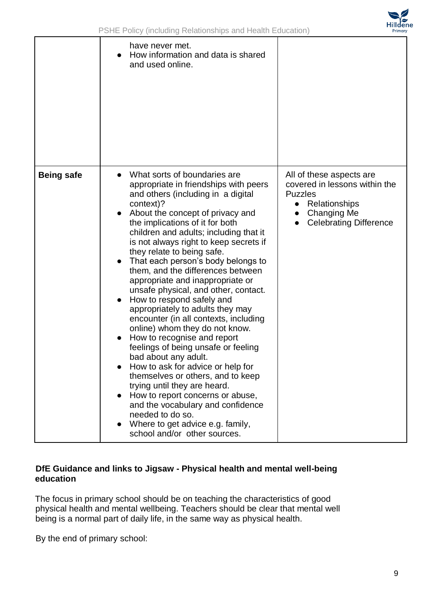

|                   | have never met.<br>How information and data is shared<br>and used online.                                                                                                                                                                                                                                                                                                                                                                                                                                                                                                                                                                                                                                                                                                                                                                                                                                                                                                                     |                                                                                                                                                           |
|-------------------|-----------------------------------------------------------------------------------------------------------------------------------------------------------------------------------------------------------------------------------------------------------------------------------------------------------------------------------------------------------------------------------------------------------------------------------------------------------------------------------------------------------------------------------------------------------------------------------------------------------------------------------------------------------------------------------------------------------------------------------------------------------------------------------------------------------------------------------------------------------------------------------------------------------------------------------------------------------------------------------------------|-----------------------------------------------------------------------------------------------------------------------------------------------------------|
| <b>Being safe</b> | What sorts of boundaries are<br>appropriate in friendships with peers<br>and others (including in a digital<br>context)?<br>About the concept of privacy and<br>the implications of it for both<br>children and adults; including that it<br>is not always right to keep secrets if<br>they relate to being safe.<br>That each person's body belongs to<br>them, and the differences between<br>appropriate and inappropriate or<br>unsafe physical, and other, contact.<br>How to respond safely and<br>appropriately to adults they may<br>encounter (in all contexts, including<br>online) whom they do not know.<br>How to recognise and report<br>feelings of being unsafe or feeling<br>bad about any adult.<br>How to ask for advice or help for<br>themselves or others, and to keep<br>trying until they are heard.<br>How to report concerns or abuse,<br>and the vocabulary and confidence<br>needed to do so.<br>Where to get advice e.g. family,<br>school and/or other sources. | All of these aspects are<br>covered in lessons within the<br><b>Puzzles</b><br>Relationships<br>$\bullet$<br>Changing Me<br><b>Celebrating Difference</b> |

# **DfE Guidance and links to Jigsaw - Physical health and mental well-being education**

The focus in primary school should be on teaching the characteristics of good physical health and mental wellbeing. Teachers should be clear that mental well being is a normal part of daily life, in the same way as physical health.

By the end of primary school: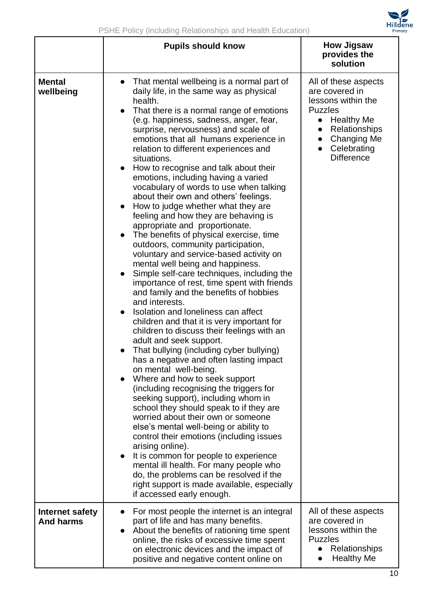|                                     | <b>Pupils should know</b>                                                                                                                                                                                                                                                                                                                                                                                                                                                                                                                                                                                                                                                                                                                                                                                                                                                                                                                                                                                                                                                                                                                                                                                                                                                                                                                                                                                                                                                                                                                                                                                                                                                                                                                                      | <b>How Jigsaw</b><br>provides the<br>solution                                                                                                                                                            |
|-------------------------------------|----------------------------------------------------------------------------------------------------------------------------------------------------------------------------------------------------------------------------------------------------------------------------------------------------------------------------------------------------------------------------------------------------------------------------------------------------------------------------------------------------------------------------------------------------------------------------------------------------------------------------------------------------------------------------------------------------------------------------------------------------------------------------------------------------------------------------------------------------------------------------------------------------------------------------------------------------------------------------------------------------------------------------------------------------------------------------------------------------------------------------------------------------------------------------------------------------------------------------------------------------------------------------------------------------------------------------------------------------------------------------------------------------------------------------------------------------------------------------------------------------------------------------------------------------------------------------------------------------------------------------------------------------------------------------------------------------------------------------------------------------------------|----------------------------------------------------------------------------------------------------------------------------------------------------------------------------------------------------------|
| <b>Mental</b><br>wellbeing          | That mental wellbeing is a normal part of<br>daily life, in the same way as physical<br>health.<br>That there is a normal range of emotions<br>(e.g. happiness, sadness, anger, fear,<br>surprise, nervousness) and scale of<br>emotions that all humans experience in<br>relation to different experiences and<br>situations.<br>How to recognise and talk about their<br>$\bullet$<br>emotions, including having a varied<br>vocabulary of words to use when talking<br>about their own and others' feelings.<br>How to judge whether what they are<br>feeling and how they are behaving is<br>appropriate and proportionate.<br>The benefits of physical exercise, time<br>outdoors, community participation,<br>voluntary and service-based activity on<br>mental well being and happiness.<br>Simple self-care techniques, including the<br>importance of rest, time spent with friends<br>and family and the benefits of hobbies<br>and interests.<br>Isolation and loneliness can affect<br>children and that it is very important for<br>children to discuss their feelings with an<br>adult and seek support.<br>That bullying (including cyber bullying)<br>has a negative and often lasting impact<br>on mental well-being.<br>Where and how to seek support<br>(including recognising the triggers for<br>seeking support), including whom in<br>school they should speak to if they are<br>worried about their own or someone<br>else's mental well-being or ability to<br>control their emotions (including issues<br>arising online).<br>It is common for people to experience<br>mental ill health. For many people who<br>do, the problems can be resolved if the<br>right support is made available, especially<br>if accessed early enough. | All of these aspects<br>are covered in<br>lessons within the<br><b>Puzzles</b><br><b>Healthy Me</b><br>$\bullet$<br>Relationships<br><b>Changing Me</b><br>$\bullet$<br>Celebrating<br><b>Difference</b> |
| Internet safety<br><b>And harms</b> | For most people the internet is an integral<br>part of life and has many benefits.<br>About the benefits of rationing time spent<br>online, the risks of excessive time spent<br>on electronic devices and the impact of<br>positive and negative content online on                                                                                                                                                                                                                                                                                                                                                                                                                                                                                                                                                                                                                                                                                                                                                                                                                                                                                                                                                                                                                                                                                                                                                                                                                                                                                                                                                                                                                                                                                            | All of these aspects<br>are covered in<br>lessons within the<br><b>Puzzles</b><br>Relationships<br>$\bullet$<br><b>Healthy Me</b>                                                                        |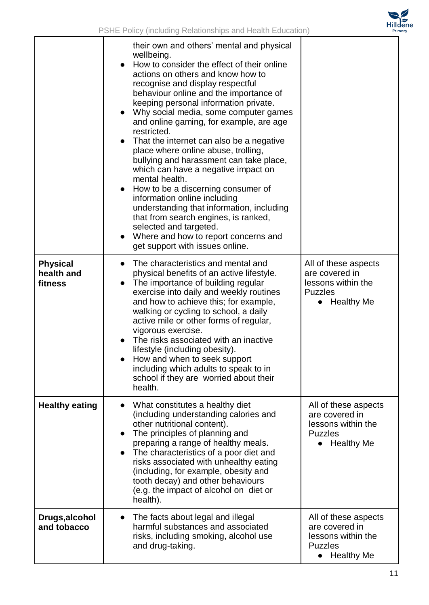

|                                          | their own and others' mental and physical<br>wellbeing.<br>How to consider the effect of their online<br>actions on others and know how to<br>recognise and display respectful<br>behaviour online and the importance of<br>keeping personal information private.<br>Why social media, some computer games<br>and online gaming, for example, are age<br>restricted.<br>That the internet can also be a negative<br>place where online abuse, trolling,<br>bullying and harassment can take place,<br>which can have a negative impact on<br>mental health.<br>How to be a discerning consumer of<br>information online including<br>understanding that information, including<br>that from search engines, is ranked,<br>selected and targeted.<br>Where and how to report concerns and<br>get support with issues online. |                                                                                                                  |
|------------------------------------------|-----------------------------------------------------------------------------------------------------------------------------------------------------------------------------------------------------------------------------------------------------------------------------------------------------------------------------------------------------------------------------------------------------------------------------------------------------------------------------------------------------------------------------------------------------------------------------------------------------------------------------------------------------------------------------------------------------------------------------------------------------------------------------------------------------------------------------|------------------------------------------------------------------------------------------------------------------|
| <b>Physical</b><br>health and<br>fitness | The characteristics and mental and<br>physical benefits of an active lifestyle.<br>The importance of building regular<br>$\bullet$<br>exercise into daily and weekly routines<br>and how to achieve this; for example,<br>walking or cycling to school, a daily<br>active mile or other forms of regular,<br>vigorous exercise.<br>The risks associated with an inactive<br>lifestyle (including obesity).<br>How and when to seek support<br>including which adults to speak to in<br>school if they are worried about their<br>health.                                                                                                                                                                                                                                                                                    | All of these aspects<br>are covered in<br>lessons within the<br><b>Puzzles</b><br><b>Healthy Me</b>              |
| <b>Healthy eating</b>                    | What constitutes a healthy diet<br>(including understanding calories and<br>other nutritional content).<br>The principles of planning and<br>preparing a range of healthy meals.<br>The characteristics of a poor diet and<br>risks associated with unhealthy eating<br>(including, for example, obesity and<br>tooth decay) and other behaviours<br>(e.g. the impact of alcohol on diet or<br>health).                                                                                                                                                                                                                                                                                                                                                                                                                     | All of these aspects<br>are covered in<br>lessons within the<br><b>Puzzles</b><br><b>Healthy Me</b><br>$\bullet$ |
| Drugs, alcohol<br>and tobacco            | The facts about legal and illegal<br>harmful substances and associated<br>risks, including smoking, alcohol use<br>and drug-taking.                                                                                                                                                                                                                                                                                                                                                                                                                                                                                                                                                                                                                                                                                         | All of these aspects<br>are covered in<br>lessons within the<br><b>Puzzles</b><br><b>Healthy Me</b><br>$\bullet$ |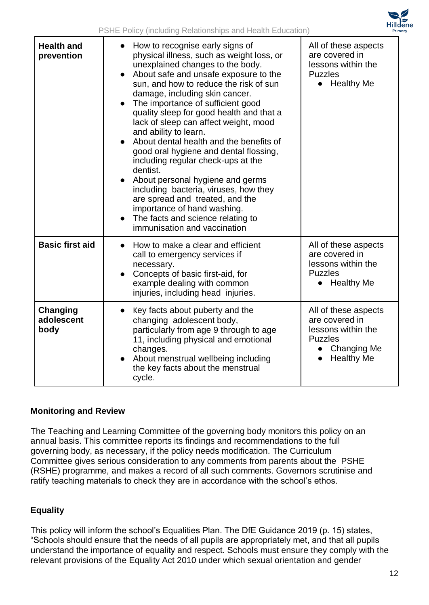

| <b>Health and</b><br>prevention | How to recognise early signs of<br>physical illness, such as weight loss, or<br>unexplained changes to the body.<br>About safe and unsafe exposure to the<br>sun, and how to reduce the risk of sun<br>damage, including skin cancer.<br>The importance of sufficient good<br>quality sleep for good health and that a<br>lack of sleep can affect weight, mood<br>and ability to learn.<br>About dental health and the benefits of<br>good oral hygiene and dental flossing,<br>including regular check-ups at the<br>dentist.<br>About personal hygiene and germs<br>including bacteria, viruses, how they<br>are spread and treated, and the<br>importance of hand washing.<br>The facts and science relating to<br>immunisation and vaccination | All of these aspects<br>are covered in<br>lessons within the<br><b>Puzzles</b><br>• Healthy Me                                         |
|---------------------------------|-----------------------------------------------------------------------------------------------------------------------------------------------------------------------------------------------------------------------------------------------------------------------------------------------------------------------------------------------------------------------------------------------------------------------------------------------------------------------------------------------------------------------------------------------------------------------------------------------------------------------------------------------------------------------------------------------------------------------------------------------------|----------------------------------------------------------------------------------------------------------------------------------------|
| <b>Basic first aid</b>          | How to make a clear and efficient<br>call to emergency services if<br>necessary.<br>Concepts of basic first-aid, for<br>example dealing with common<br>injuries, including head injuries.                                                                                                                                                                                                                                                                                                                                                                                                                                                                                                                                                           | All of these aspects<br>are covered in<br>lessons within the<br><b>Puzzles</b><br><b>Healthy Me</b><br>$\bullet$                       |
| Changing<br>adolescent<br>body  | Key facts about puberty and the<br>changing adolescent body,<br>particularly from age 9 through to age<br>11, including physical and emotional<br>changes.<br>About menstrual wellbeing including<br>the key facts about the menstrual<br>cycle.                                                                                                                                                                                                                                                                                                                                                                                                                                                                                                    | All of these aspects<br>are covered in<br>lessons within the<br><b>Puzzles</b><br><b>Changing Me</b><br>$\bullet$<br><b>Healthy Me</b> |

#### **Monitoring and Review**

The Teaching and Learning Committee of the governing body monitors this policy on an annual basis. This committee reports its findings and recommendations to the full governing body, as necessary, if the policy needs modification. The Curriculum Committee gives serious consideration to any comments from parents about the PSHE (RSHE) programme, and makes a record of all such comments. Governors scrutinise and ratify teaching materials to check they are in accordance with the school's ethos.

# **Equality**

This policy will inform the school's Equalities Plan. The DfE Guidance 2019 (p. 15) states, "Schools should ensure that the needs of all pupils are appropriately met, and that all pupils understand the importance of equality and respect. Schools must ensure they comply with the relevant provisions of the Equality Act 2010 under which sexual orientation and gender